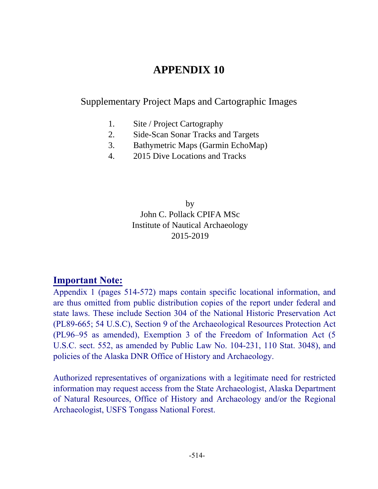### **APPENDIX 10**

#### Supplementary Project Maps and Cartographic Images

- 1. Site / Project Cartography
- 2. Side-Scan Sonar Tracks and Targets
- 3. Bathymetric Maps (Garmin EchoMap)
- 4. 2015 Dive Locations and Tracks

by John C. Pollack CPIFA MSc Institute of Nautical Archaeology 2015-2019

#### **Important Note:**

Appendix 1 (pages 514-572) maps contain specific locational information, and are thus omitted from public distribution copies of the report under federal and state laws. These include Section 304 of the National Historic Preservation Act (PL89-665; 54 U.S.C), Section 9 of the Archaeological Resources Protection Act (PL96–95 as amended), Exemption 3 of the Freedom of Information Act (5 U.S.C. sect. 552, as amended by Public Law No. 104-231, 110 Stat. 3048), and policies of the Alaska DNR Office of History and Archaeology.

Authorized representatives of organizations with a legitimate need for restricted information may request access from the State Archaeologist, Alaska Department of Natural Resources, Office of History and Archaeology and/or the Regional Archaeologist, USFS Tongass National Forest.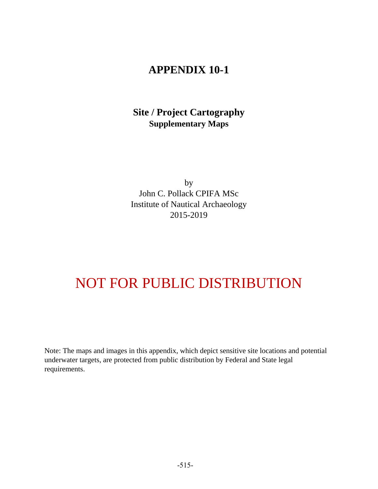#### **Site / Project Cartography Supplementary Maps**

by John C. Pollack CPIFA MSc Institute of Nautical Archaeology 2015-2019

## NOT FOR PUBLIC DISTRIBUTION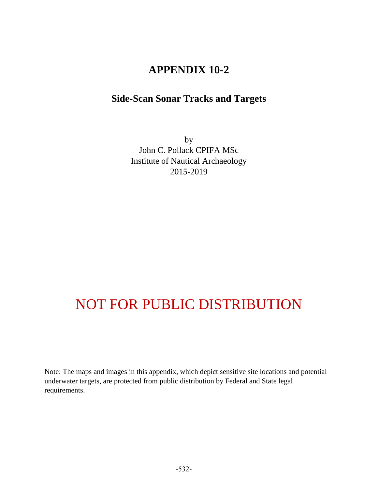#### **Side-Scan Sonar Tracks and Targets**

by John C. Pollack CPIFA MSc Institute of Nautical Archaeology 2015-2019

# NOT FOR PUBLIC DISTRIBUTION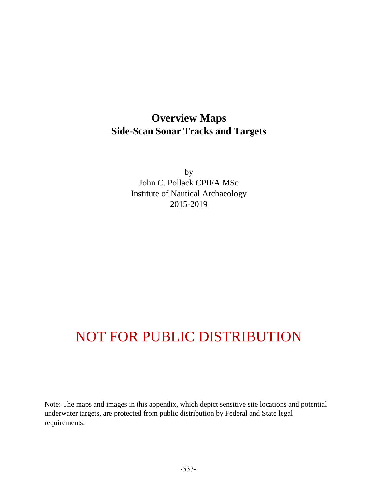### **Overview Maps Side-Scan Sonar Tracks and Targets**

by John C. Pollack CPIFA MSc Institute of Nautical Archaeology 2015-2019

# NOT FOR PUBLIC DISTRIBUTION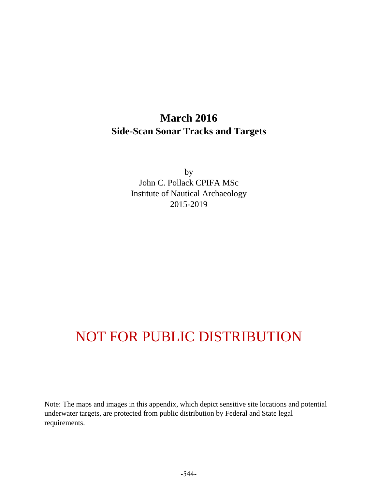### **March 2016 Side-Scan Sonar Tracks and Targets**

by John C. Pollack CPIFA MSc Institute of Nautical Archaeology 2015-2019

# NOT FOR PUBLIC DISTRIBUTION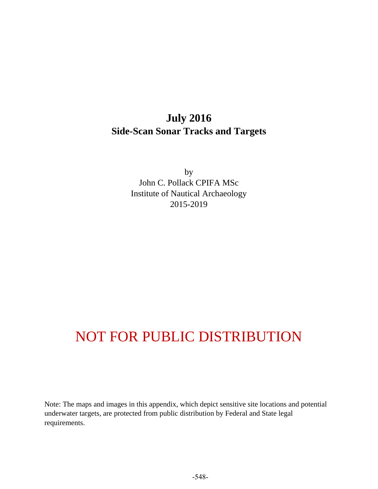### **July 2016 Side-Scan Sonar Tracks and Targets**

by John C. Pollack CPIFA MSc Institute of Nautical Archaeology 2015-2019

## NOT FOR PUBLIC DISTRIBUTION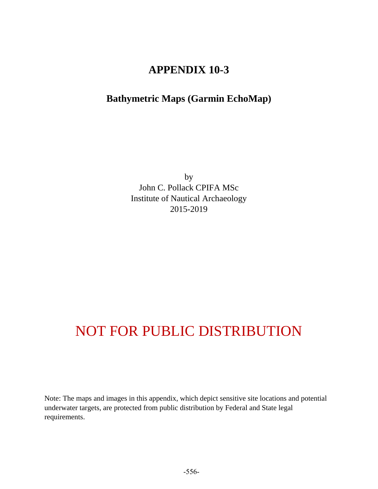#### **Bathymetric Maps (Garmin EchoMap)**

by John C. Pollack CPIFA MSc Institute of Nautical Archaeology 2015-2019

## NOT FOR PUBLIC DISTRIBUTION